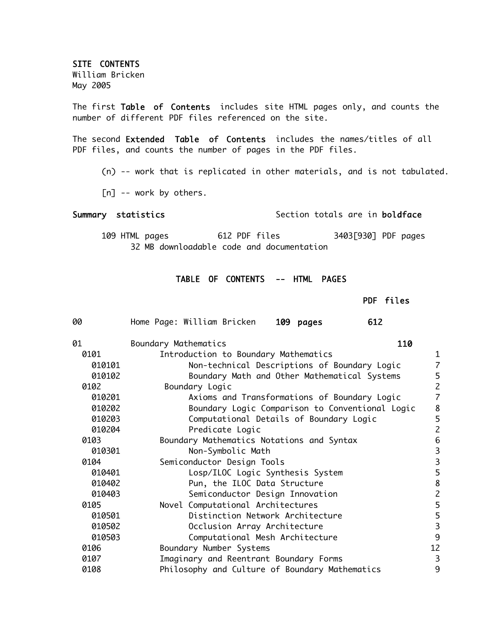SITE CONTENTS

William Bricken May 2005

The first Table of Contents includes site HTML pages only, and counts the number of different PDF files referenced on the site.

The second Extended Table of Contents includes the names/titles of all PDF files, and counts the number of pages in the PDF files.

- (n) -- work that is replicated in other materials, and is not tabulated.
- [n] -- work by others.

## Summary statistics Section totals are in boldface

109 HTML pages 612 PDF files 3403[930] PDF pages 32 MB downloadable code and documentation

## TABLE OF CONTENTS -- HTML PAGES

PDF files

| 00     | Home Page: William Bricken<br>109 pages<br>612  |                                            |
|--------|-------------------------------------------------|--------------------------------------------|
| 01     | 110<br>Boundary Mathematics                     |                                            |
| 0101   | Introduction to Boundary Mathematics            | $\mathbf{1}$                               |
| 010101 | Non-technical Descriptions of Boundary Logic    | $\overline{7}$                             |
| 010102 | Boundary Math and Other Mathematical Systems    | 5                                          |
| 0102   | Boundary Logic                                  | $\overline{c}$                             |
| 010201 | Axioms and Transformations of Boundary Logic    | $\overline{\mathcal{L}}$                   |
| 010202 | Boundary Logic Comparison to Conventional Logic | 8                                          |
| 010203 | Computational Details of Boundary Logic         | 5                                          |
| 010204 | Predicate Logic                                 | $\overline{c}$                             |
| 0103   | Boundary Mathematics Notations and Syntax       | 6                                          |
| 010301 | Non-Symbolic Math                               | $\begin{array}{c} 3 \\ 3 \\ 5 \end{array}$ |
| 0104   | Semiconductor Design Tools                      |                                            |
| 010401 | Losp/ILOC Logic Synthesis System                |                                            |
| 010402 | Pun, the ILOC Data Structure                    | $\begin{array}{c} 8 \\ 2 \end{array}$      |
| 010403 | Semiconductor Design Innovation                 |                                            |
| 0105   | Novel Computational Architectures               | $\begin{array}{c} 5 \\ 5 \\ 3 \end{array}$ |
| 010501 | Distinction Network Architecture                |                                            |
| 010502 | Occlusion Array Architecture                    |                                            |
| 010503 | Computational Mesh Architecture                 | 9                                          |
| 0106   | Boundary Number Systems                         | 12                                         |
| 0107   | Imaginary and Reentrant Boundary Forms          | 3                                          |
| 0108   | Philosophy and Culture of Boundary Mathematics  | 9                                          |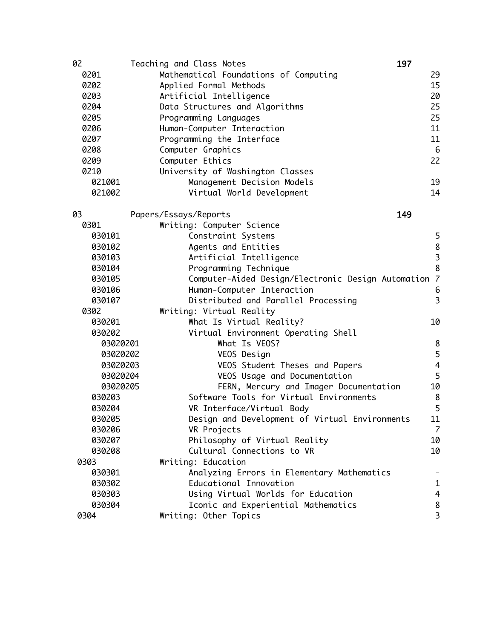| 02       | 197<br>Teaching and Class Notes                      |                                            |
|----------|------------------------------------------------------|--------------------------------------------|
| 0201     | Mathematical Foundations of Computing                | 29                                         |
| 0202     | Applied Formal Methods                               | 15                                         |
| 0203     | Artificial Intelligence                              | 20                                         |
| 0204     | Data Structures and Algorithms                       | 25                                         |
| 0205     | Programming Languages                                | 25                                         |
| 0206     | Human-Computer Interaction                           | 11                                         |
| 0207     | Programming the Interface                            | 11                                         |
| 0208     | Computer Graphics                                    | 6                                          |
| 0209     | Computer Ethics                                      | 22                                         |
| 0210     | University of Washington Classes                     |                                            |
| 021001   | Management Decision Models                           | 19                                         |
| 021002   | Virtual World Development                            | 14                                         |
| 03       | 149<br>Papers/Essays/Reports                         |                                            |
| 0301     | Writing: Computer Science                            |                                            |
| 030101   | Constraint Systems                                   | 5                                          |
| 030102   | Agents and Entities                                  |                                            |
| 030103   | Artificial Intelligence                              | $\begin{array}{c} 8 \\ 3 \\ 8 \end{array}$ |
| 030104   | Programming Technique                                |                                            |
| 030105   | Computer-Aided Design/Electronic Design Automation 7 |                                            |
| 030106   | Human-Computer Interaction                           | 6                                          |
| 030107   | Distributed and Parallel Processing                  | $\overline{3}$                             |
| 0302     | Writing: Virtual Reality                             |                                            |
| 030201   | What Is Virtual Reality?                             | 10                                         |
| 030202   | Virtual Environment Operating Shell                  |                                            |
| 03020201 | What Is VEOS?                                        | 8                                          |
| 03020202 | VEOS Design                                          | 5                                          |
| 03020203 | VEOS Student Theses and Papers                       | $\overline{4}$                             |
| 03020204 | VEOS Usage and Documentation                         | 5                                          |
| 03020205 | FERN, Mercury and Imager Documentation               | 10                                         |
| 030203   | Software Tools for Virtual Environments              | 8                                          |
| 030204   | VR Interface/Virtual Body                            | 5                                          |
| 030205   | Design and Development of Virtual Environments       | 11                                         |
| 030206   | VR Projects                                          | $\overline{7}$                             |
| 030207   | Philosophy of Virtual Reality                        | 10                                         |
| 030208   | Cultural Connections to VR                           | 10                                         |
| 0303     | Writing: Education                                   |                                            |
| 030301   | Analyzing Errors in Elementary Mathematics           |                                            |
| 030302   | Educational Innovation                               | $\mathbf{1}$                               |
| 030303   | Using Virtual Worlds for Education                   | 4                                          |
| 030304   | Iconic and Experiential Mathematics                  | 8                                          |
| 0304     | Writing: Other Topics                                | 3                                          |